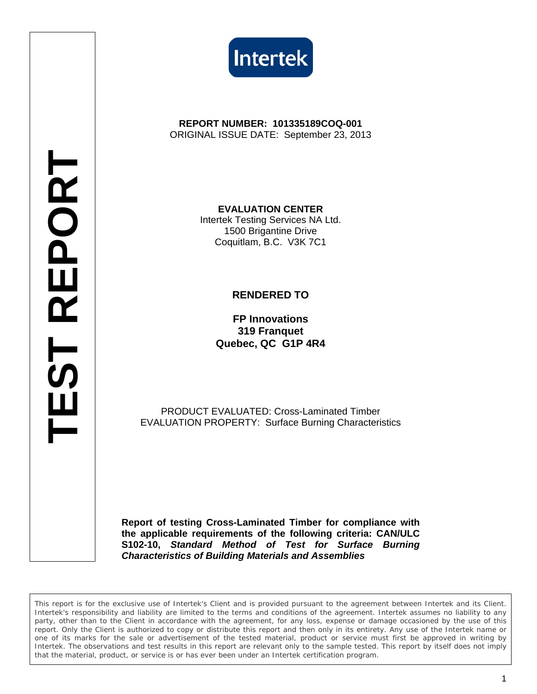



**REPORT NUMBER: 101335189COQ-001**  ORIGINAL ISSUE DATE: September 23, 2013

> **EVALUATION CENTER**  Intertek Testing Services NA Ltd. 1500 Brigantine Drive Coquitlam, B.C. V3K 7C1

## **RENDERED TO**

**FP Innovations 319 Franquet Quebec, QC G1P 4R4**

PRODUCT EVALUATED: Cross-Laminated Timber EVALUATION PROPERTY: Surface Burning Characteristics

**Report of testing Cross-Laminated Timber for compliance with the applicable requirements of the following criteria: CAN/ULC S102-10,** *Standard Method of Test for Surface Burning Characteristics of Building Materials and Assemblies*

*This report is for the exclusive use of Intertek's Client and is provided pursuant to the agreement between Intertek and its Client. Intertek's responsibility and liability are limited to the terms and conditions of the agreement. Intertek assumes no liability to any party, other than to the Client in accordance with the agreement, for any loss, expense or damage occasioned by the use of this report. Only the Client is authorized to copy or distribute this report and then only in its entirety. Any use of the Intertek name or one of its marks for the sale or advertisement of the tested material, product or service must first be approved in writing by Intertek. The observations and test results in this report are relevant only to the sample tested. This report by itself does not imply that the material, product, or service is or has ever been under an Intertek certification program.*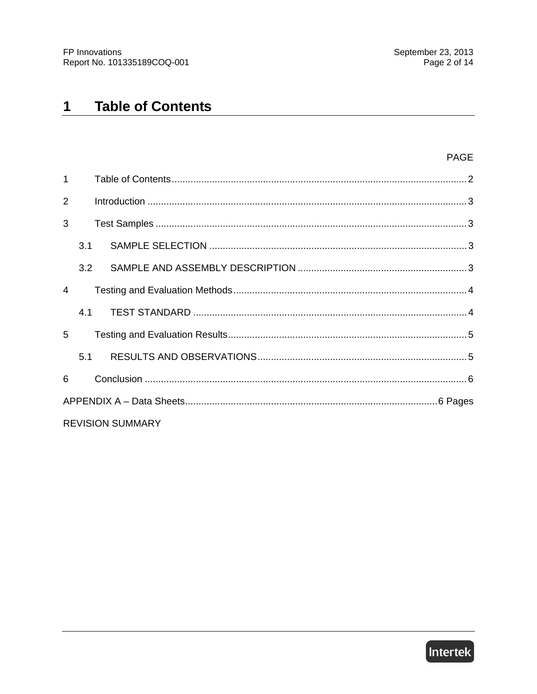#### **Table of Contents**  $1$

| 1              |     |                         |  |
|----------------|-----|-------------------------|--|
| 2              |     |                         |  |
| 3              |     |                         |  |
|                | 3.1 |                         |  |
|                | 3.2 |                         |  |
| $\overline{4}$ |     |                         |  |
|                | 4.1 |                         |  |
| 5              |     |                         |  |
|                | 5.1 |                         |  |
| 6              |     |                         |  |
|                |     |                         |  |
|                |     | <b>REVISION SUMMARY</b> |  |

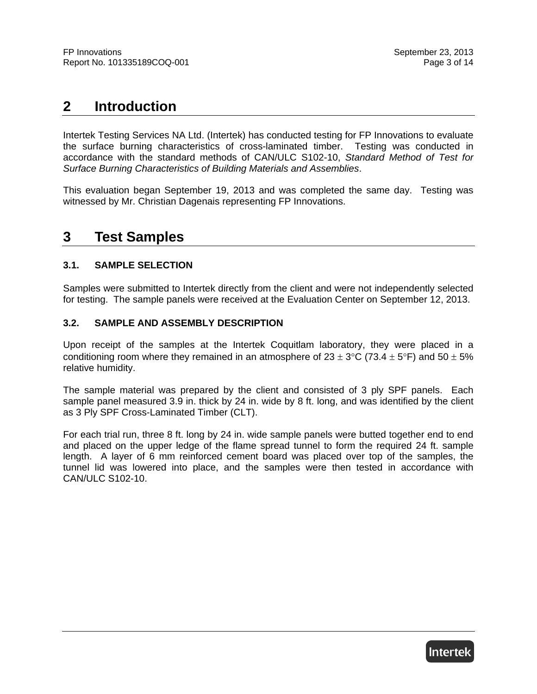# **2 Introduction**

Intertek Testing Services NA Ltd. (Intertek) has conducted testing for FP Innovations to evaluate the surface burning characteristics of cross-laminated timber. Testing was conducted in accordance with the standard methods of CAN/ULC S102-10, *Standard Method of Test for Surface Burning Characteristics of Building Materials and Assemblies*.

This evaluation began September 19, 2013 and was completed the same day. Testing was witnessed by Mr. Christian Dagenais representing FP Innovations.

# **3 Test Samples**

## **3.1. SAMPLE SELECTION**

Samples were submitted to Intertek directly from the client and were not independently selected for testing. The sample panels were received at the Evaluation Center on September 12, 2013.

## **3.2. SAMPLE AND ASSEMBLY DESCRIPTION**

Upon receipt of the samples at the Intertek Coquitlam laboratory, they were placed in a conditioning room where they remained in an atmosphere of  $23 \pm 3^{\circ}$ C (73.4  $\pm 5^{\circ}$ F) and 50  $\pm 5\%$ relative humidity.

The sample material was prepared by the client and consisted of 3 ply SPF panels. Each sample panel measured 3.9 in. thick by 24 in. wide by 8 ft. long, and was identified by the client as 3 Ply SPF Cross-Laminated Timber (CLT).

For each trial run, three 8 ft. long by 24 in. wide sample panels were butted together end to end and placed on the upper ledge of the flame spread tunnel to form the required 24 ft. sample length. A layer of 6 mm reinforced cement board was placed over top of the samples, the tunnel lid was lowered into place, and the samples were then tested in accordance with CAN/ULC S102-10.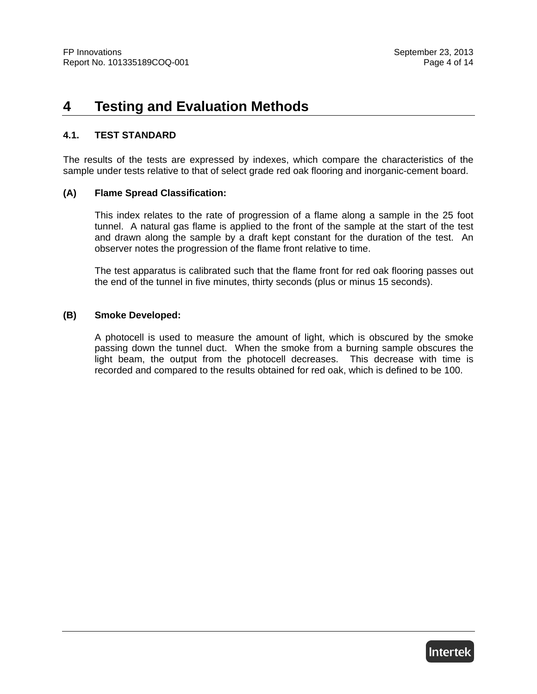## **4 Testing and Evaluation Methods**

## **4.1. TEST STANDARD**

The results of the tests are expressed by indexes, which compare the characteristics of the sample under tests relative to that of select grade red oak flooring and inorganic-cement board.

## **(A) Flame Spread Classification:**

This index relates to the rate of progression of a flame along a sample in the 25 foot tunnel. A natural gas flame is applied to the front of the sample at the start of the test and drawn along the sample by a draft kept constant for the duration of the test. An observer notes the progression of the flame front relative to time.

The test apparatus is calibrated such that the flame front for red oak flooring passes out the end of the tunnel in five minutes, thirty seconds (plus or minus 15 seconds).

### **(B) Smoke Developed:**

A photocell is used to measure the amount of light, which is obscured by the smoke passing down the tunnel duct. When the smoke from a burning sample obscures the light beam, the output from the photocell decreases. This decrease with time is recorded and compared to the results obtained for red oak, which is defined to be 100.

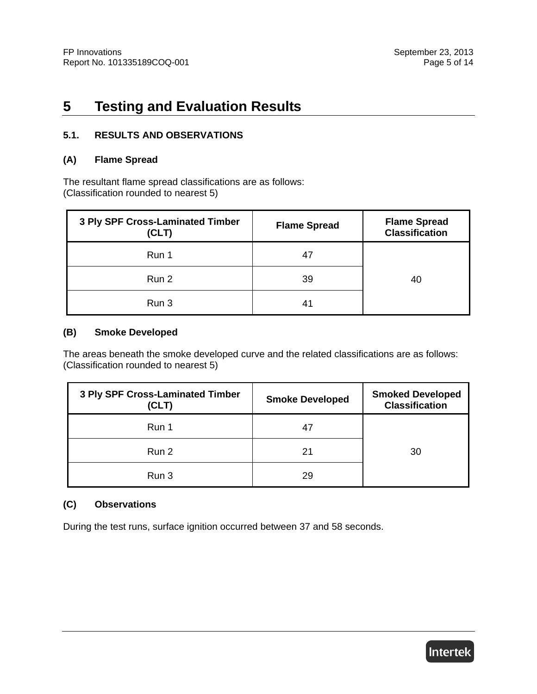# **5 Testing and Evaluation Results**

## **5.1. RESULTS AND OBSERVATIONS**

## **(A) Flame Spread**

The resultant flame spread classifications are as follows: (Classification rounded to nearest 5)

| 3 Ply SPF Cross-Laminated Timber<br>(CLT) | <b>Flame Spread</b> | <b>Flame Spread</b><br><b>Classification</b> |
|-------------------------------------------|---------------------|----------------------------------------------|
| Run 1                                     | 47                  |                                              |
| Run 2                                     | 39                  | 40                                           |
| Run 3                                     | 41                  |                                              |

## **(B) Smoke Developed**

The areas beneath the smoke developed curve and the related classifications are as follows: (Classification rounded to nearest 5)

| 3 Ply SPF Cross-Laminated Timber<br>(CLT) | <b>Smoke Developed</b> | <b>Smoked Developed</b><br><b>Classification</b> |
|-------------------------------------------|------------------------|--------------------------------------------------|
| Run 1                                     |                        |                                                  |
| Run 2                                     | 21                     | 30                                               |
| Run 3                                     | 29                     |                                                  |

## **(C) Observations**

During the test runs, surface ignition occurred between 37 and 58 seconds.

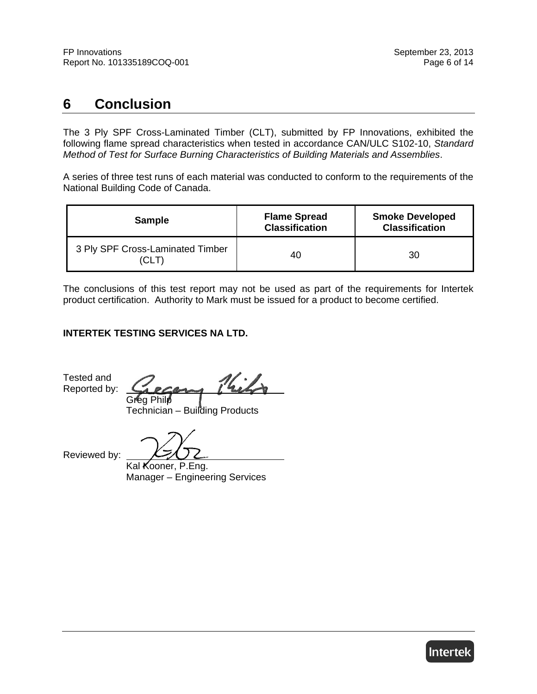# **6 Conclusion**

The 3 Ply SPF Cross-Laminated Timber (CLT), submitted by FP Innovations, exhibited the following flame spread characteristics when tested in accordance CAN/ULC S102-10, *Standard Method of Test for Surface Burning Characteristics of Building Materials and Assemblies*.

A series of three test runs of each material was conducted to conform to the requirements of the National Building Code of Canada.

| <b>Sample</b>                            | <b>Flame Spread</b><br><b>Classification</b> | <b>Smoke Developed</b><br><b>Classification</b> |
|------------------------------------------|----------------------------------------------|-------------------------------------------------|
| 3 Ply SPF Cross-Laminated Timber<br>(CLT | 40                                           | 30                                              |

The conclusions of this test report may not be used as part of the requirements for Intertek product certification. Authority to Mark must be issued for a product to become certified.

## **INTERTEK TESTING SERVICES NA LTD.**

Tested and Reported by:

Kils Greg Philp

Technician – Building Products

Reviewed by:

Kal Kooner, P.Eng. Manager – Engineering Services

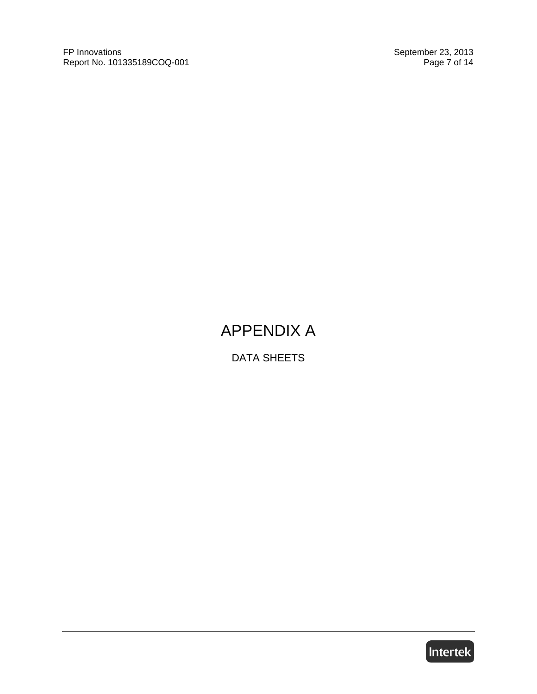FP Innovations September 23, 2013<br>Report No. 101335189COQ-001 Page 7 of 14 Report No. 101335189COQ-001

# APPENDIX A

DATA SHEETS

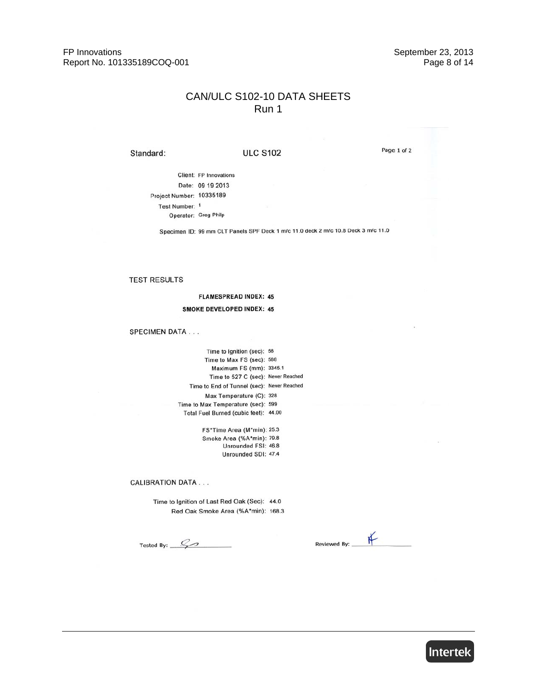FP Innovations Report No. 101335189COQ-001 September 23, 2013 Page 8 of 14

## CAN/ULC S102-10 DATA SHEETS Run 1

Standard:

#### **ULC S102**

Page 1 of 2

Client: FP Innovations Date: 09 19 2013 Project Number: 10335189 Test Number: 1 Operator: Greg Philp

Specimen ID: 99 mm CLT Panels SPF Deck 1 m/c 11.0 deck 2 m/c 10.8 Deck 3 m/c 11.0

#### **TEST RESULTS**

**FLAMESPREAD INDEX: 45 SMOKE DEVELOPED INDEX: 45** 

#### **SPECIMEN DATA...**

Time to Ignition (sec): 58 Time to Max FS (sec): 588 Maximum FS (mm): 3345.1 Time to 527 C (sec): Never Reached Time to End of Tunnel (sec): Never Reached Max Temperature (C): 328 Time to Max Temperature (sec): 599 Total Fuel Burned (cubic feet): 44.00

> FS\*Time Area (M\*min): 25.3 Smoke Area (%A\*min): 79.8 Unrounded FSI: 46.8 Unrounded SDI: 47.4

**CALIBRATION DATA...** 

Time to Ignition of Last Red Oak (Sec): 44.0 Red Oak Smoke Area (%A\*min): 168.3

Tested By:  $\frac{C}{2}$ 

 $#$ Reviewed By: \_

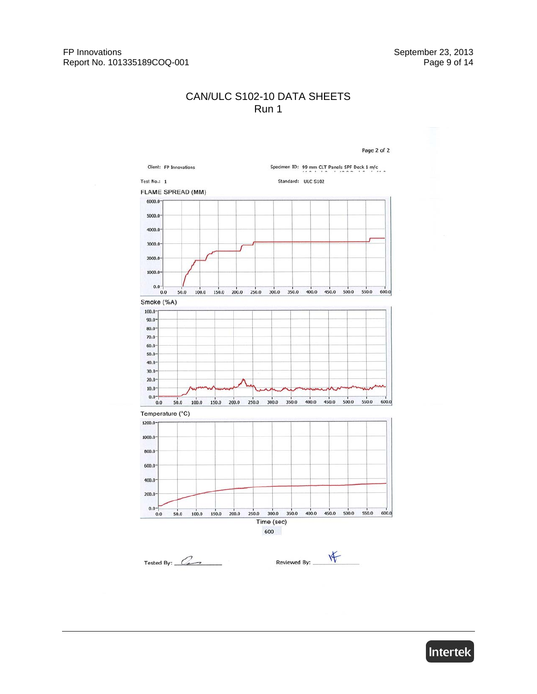## CAN/ULC S102-10 DATA SHEETS Run 1



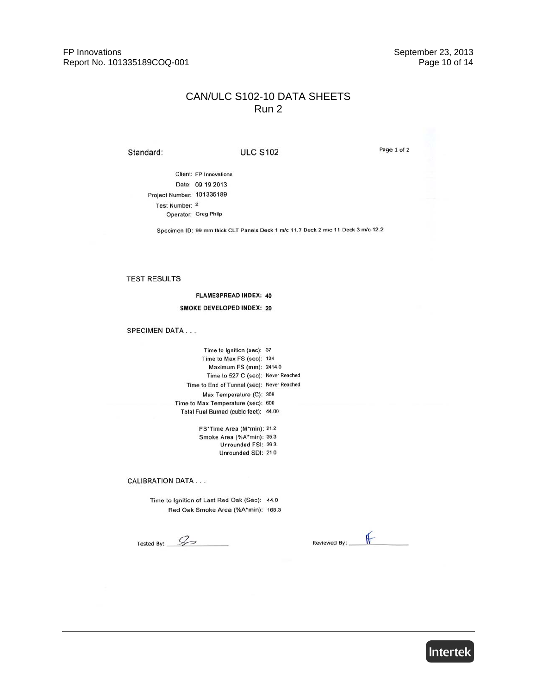FP Innovations Report No. 101335189COQ-001 September 23, 2013 Page 10 of 14

## CAN/ULC S102-10 DATA SHEETS Run 2

Standard:

#### **ULC S102**

Page 1 of 2

**Client: FP Innovations** Date: 09 19 2013 Project Number: 101335189 Test Number: 2 Operator: Greg Philp

Specimen ID: 99 mm thick CLT Panels Deck 1 m/c 11.7 Deck 2 m/c 11 Deck 3 m/c 12.2

#### **TEST RESULTS**

**FLAMESPREAD INDEX: 40** 

#### **SMOKE DEVELOPED INDEX: 20**

#### **SPECIMEN DATA...**

Time to Ignition (sec): 37 Time to Max FS (sec): 124 Maximum FS (mm): 2414.0 Time to 527 C (sec): Never Reached Time to End of Tunnel (sec): Never Reached Max Temperature (C): 309 Time to Max Temperature (sec): 600 Total Fuel Burned (cubic feet): 44.00

> FS\*Time Area (M\*min): 21.2 Smoke Area (%A\*min): 35.3 Unrounded FSI: 39.3 Unrounded SDI: 21.0

**CALIBRATION DATA...** 

Time to Ignition of Last Red Oak (Sec): 44.0 Red Oak Smoke Area (%A\*min): 168.3

Tested By:  $\mathcal{L}$ 

 $#$ Reviewed By:

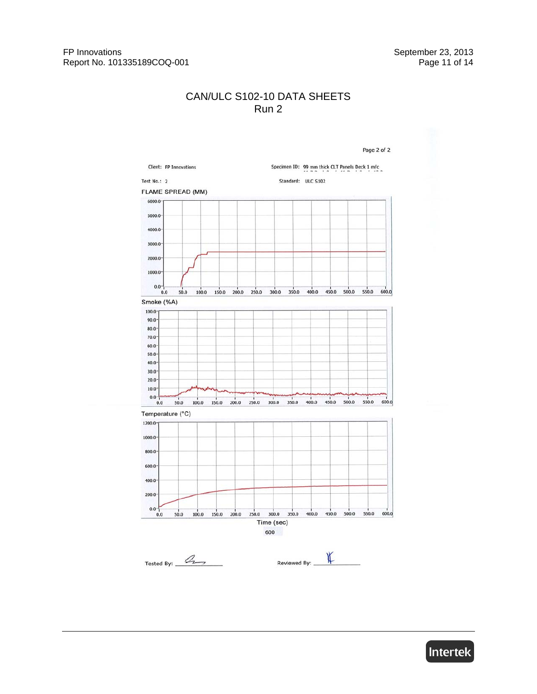## CAN/ULC S102-10 DATA SHEETS Run 2



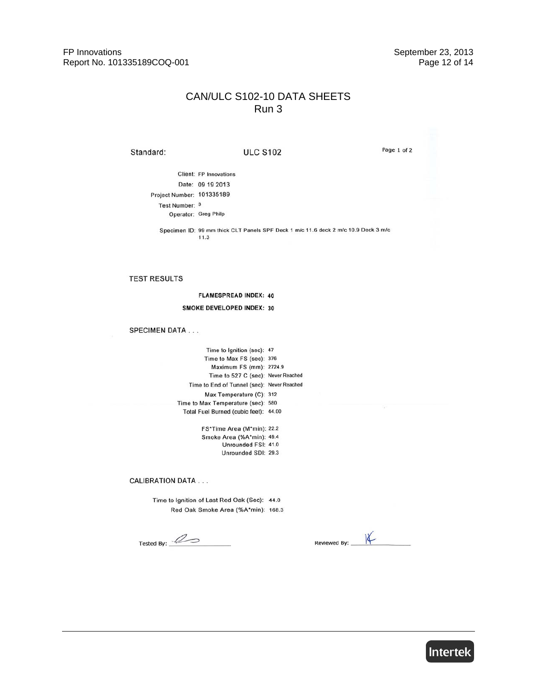FP Innovations Report No. 101335189COQ-001 September 23, 2013 Page 12 of 14

## CAN/ULC S102-10 DATA SHEETS Run 3

Standard:

#### **ULC S102**

Page 1 of 2

Client: FP Innovations Date: 09 19 2013 Project Number: 101335189 Test Number: 3 Operator: Greg Philp

> Specimen ID: 99 mm thick CLT Panels SPF Deck 1 m/c 11.6 deck 2 m/c 10.9 Deck 3 m/c  $11.3$

#### **TEST RESULTS**

#### **FLAMESPREAD INDEX: 40**

#### SMOKE DEVELOPED INDEX: 30

#### **SPECIMEN DATA...**

| Time to Ignition (sec): 47                 |  |
|--------------------------------------------|--|
| Time to Max FS (sec): 376                  |  |
| Maximum FS (mm): 2724.9                    |  |
| Time to 527 C (sec): Never Reached         |  |
| Time to End of Tunnel (sec): Never Reached |  |
| Max Temperature (C): 312                   |  |
| Time to Max Temperature (sec): 580         |  |
| Total Fuel Burned (cubic feet): 44.00      |  |

FS\*Time Area (M\*min): 22.2 Smoke Area (%A\*min): 49.4 Unrounded FSI: 41.0 Unrounded SDI: 29.3

**CALIBRATION DATA...** 

Time to Ignition of Last Red Oak (Sec): 44.0 Red Oak Smoke Area (%A\*min): 168.3

Tested By:  $\mathscr{L}$ 

 $K$ Reviewed By:

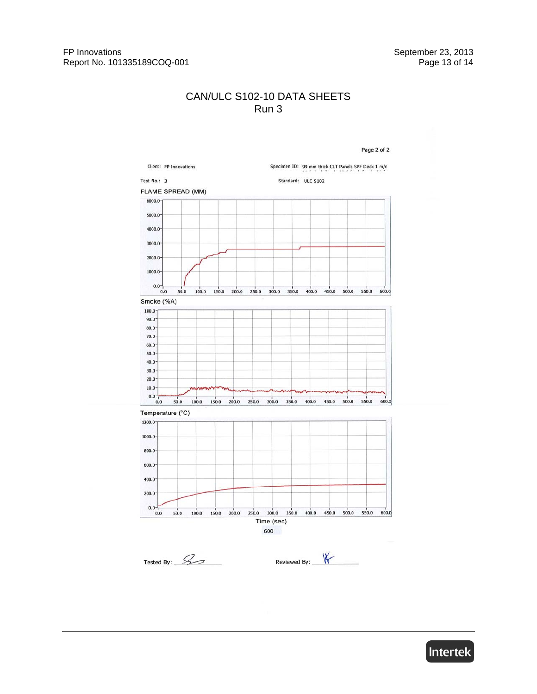## CAN/ULC S102-10 DATA SHEETS Run 3